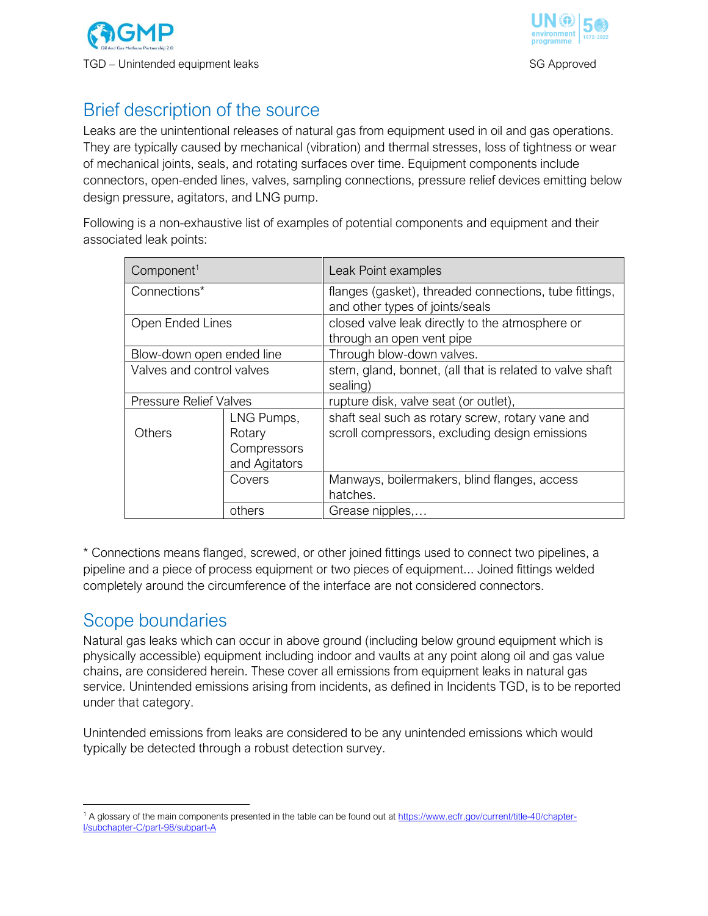



# Brief description of the source

Leaks are the unintentional releases of natural gas from equipment used in oil and gas operations. They are typically caused by mechanical (vibration) and thermal stresses, loss of tightness or wear of mechanical joints, seals, and rotating surfaces over time. Equipment components include connectors, open-ended lines, valves, sampling connections, pressure relief devices emitting below design pressure, agitators, and LNG pump.

Following is a non-exhaustive list of examples of potential components and equipment and their associated leak points:

| Component <sup>1</sup>        |                                                      | Leak Point examples                                                                                |
|-------------------------------|------------------------------------------------------|----------------------------------------------------------------------------------------------------|
| Connections*                  |                                                      | flanges (gasket), threaded connections, tube fittings,<br>and other types of joints/seals          |
| Open Ended Lines              |                                                      | closed valve leak directly to the atmosphere or<br>through an open vent pipe                       |
| Blow-down open ended line     |                                                      | Through blow-down valves.                                                                          |
| Valves and control valves     |                                                      | stem, gland, bonnet, (all that is related to valve shaft<br>sealing)                               |
| <b>Pressure Relief Valves</b> |                                                      | rupture disk, valve seat (or outlet),                                                              |
| Others                        | LNG Pumps,<br>Rotary<br>Compressors<br>and Agitators | shaft seal such as rotary screw, rotary vane and<br>scroll compressors, excluding design emissions |
|                               | Covers                                               | Manways, boilermakers, blind flanges, access<br>hatches.                                           |
|                               | others                                               | Grease nipples,                                                                                    |

\* Connections means flanged, screwed, or other joined fittings used to connect two pipelines, a pipeline and a piece of process equipment or two pieces of equipment... Joined fittings welded completely around the circumference of the interface are not considered connectors.

## Scope boundaries

 $\overline{a}$ 

Natural gas leaks which can occur in above ground (including below ground equipment which is physically accessible) equipment including indoor and vaults at any point along oil and gas value chains, are considered herein. These cover all emissions from equipment leaks in natural gas service. Unintended emissions arising from incidents, as defined in Incidents TGD, is to be reported under that category.

Unintended emissions from leaks are considered to be any unintended emissions which would typically be detected through a robust detection survey.

<sup>1</sup> A glossary of the main components presented in the table can be found out a[t https://www.ecfr.gov/current/title-40/chapter-](https://www.ecfr.gov/current/title-40/chapter-I/subchapter-C/part-98/subpart-A)[I/subchapter-C/part-98/subpart-A](https://www.ecfr.gov/current/title-40/chapter-I/subchapter-C/part-98/subpart-A)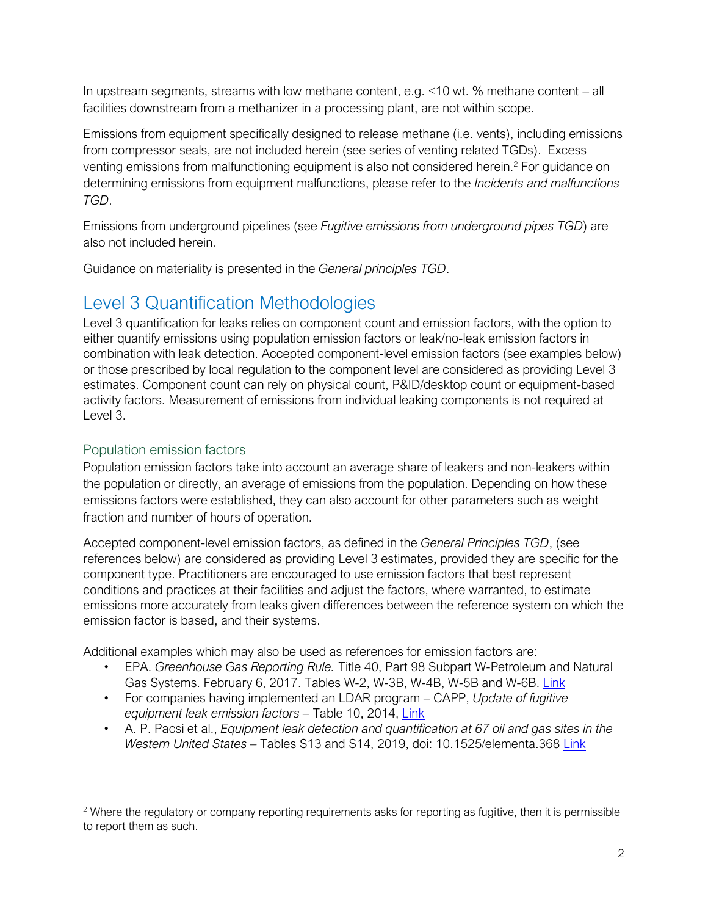In upstream segments, streams with low methane content, e.g. <10 wt. % methane content – all facilities downstream from a methanizer in a processing plant, are not within scope.

Emissions from equipment specifically designed to release methane (i.e. vents), including emissions from compressor seals, are not included herein (see series of venting related TGDs). Excess venting emissions from malfunctioning equipment is also not considered herein.<sup>2</sup> For guidance on determining emissions from equipment malfunctions, please refer to the *Incidents and malfunctions TGD*.

Emissions from underground pipelines (see *Fugitive emissions from underground pipes TGD*) are also not included herein.

Guidance on materiality is presented in the *General principles TGD*.

# Level 3 Quantification Methodologies

Level 3 quantification for leaks relies on component count and emission factors, with the option to either quantify emissions using population emission factors or leak/no-leak emission factors in combination with leak detection. Accepted component-level emission factors (see examples below) or those prescribed by local regulation to the component level are considered as providing Level 3 estimates. Component count can rely on physical count, P&ID/desktop count or equipment-based activity factors. Measurement of emissions from individual leaking components is not required at Level 3.

## Population emission factors

 $\overline{a}$ 

Population emission factors take into account an average share of leakers and non-leakers within the population or directly, an average of emissions from the population. Depending on how these emissions factors were established, they can also account for other parameters such as weight fraction and number of hours of operation.

Accepted component-level emission factors, as defined in the *General Principles TGD*, (see references below) are considered as providing Level 3 estimates, provided they are specific for the component type. Practitioners are encouraged to use emission factors that best represent conditions and practices at their facilities and adjust the factors, where warranted, to estimate emissions more accurately from leaks given differences between the reference system on which the emission factor is based, and their systems.

Additional examples which may also be used as references for emission factors are:

- EPA. *Greenhouse Gas Reporting Rule.* Title 40, Part 98 Subpart W-Petroleum and Natural Gas Systems. February 6, 2017. Tables W-2, W-3B, W-4B, W-5B and W-6B. [Link](http://www.ecfr.gov/cgi-bin/text-idx?SID=777564a9f8d1264edbfc1c55a7a989ba&mc=true&node=sp40.23.98.w&rgn=div6)
- For companies having implemented an LDAR program CAPP, *Update of fugitive equipment leak emission factors –* Table 10, 2014, [Link](http://www.capp.ca/publications-and-statistics/publications/238773.)
- A. P. Pacsi et al., *Equipment leak detection and quantification at 67 oil and gas sites in the Western United States –* Tables S13 and S14, 2019, doi: 10.1525/elementa.368 [Link](https://online.ucpress.edu/elementa/article/doi/10.1525/elementa.368/112516/Equipment-leak-detection-and-quantification-at-67)

<sup>&</sup>lt;sup>2</sup> Where the regulatory or company reporting requirements asks for reporting as fugitive, then it is permissible to report them as such.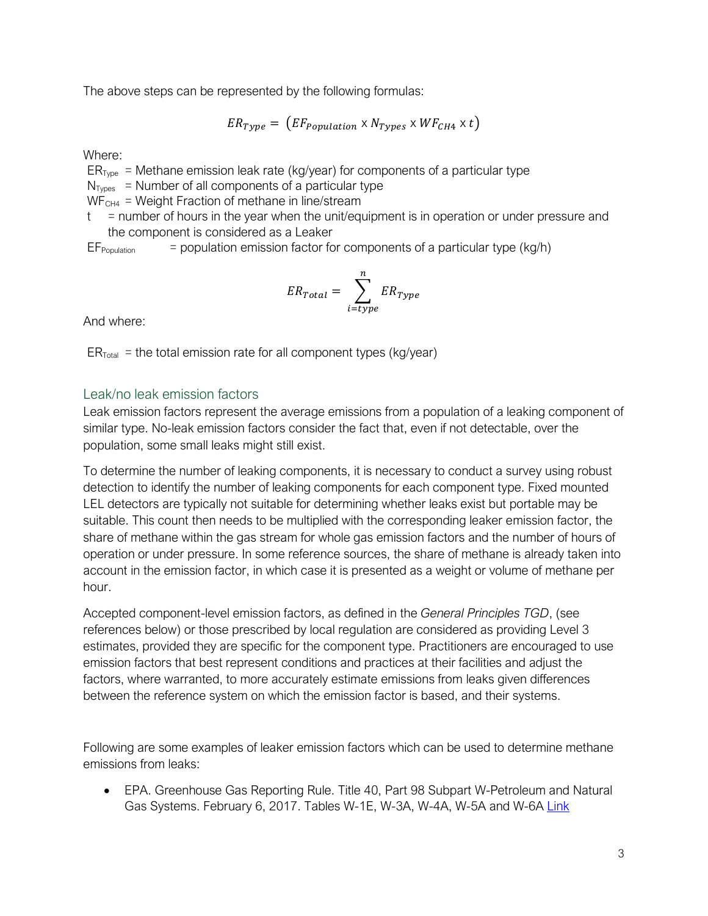The above steps can be represented by the following formulas:

$$
ER_{Type} = (EF_{Population} \times N_{Types} \times WF_{CH4} \times t)
$$

Where:

 $ER<sub>Type</sub> = Methane emission leak rate (kg/year) for components of a particular type$ 

 $N<sub>Tvnes</sub>$  = Number of all components of a particular type

 $WF<sub>CH4</sub>$  = Weight Fraction of methane in line/stream

 $t =$  number of hours in the year when the unit/equipment is in operation or under pressure and the component is considered as a Leaker

 $EF_{Population}$  = population emission factor for components of a particular type (kg/h)

$$
ER_{Total} = \sum_{i = type}^{n} ER_{Type}
$$

And where:

 $ER<sub>Total</sub>$  = the total emission rate for all component types (kg/year)

### Leak/no leak emission factors

Leak emission factors represent the average emissions from a population of a leaking component of similar type. No-leak emission factors consider the fact that, even if not detectable, over the population, some small leaks might still exist.

To determine the number of leaking components, it is necessary to conduct a survey using robust detection to identify the number of leaking components for each component type. Fixed mounted LEL detectors are typically not suitable for determining whether leaks exist but portable may be suitable. This count then needs to be multiplied with the corresponding leaker emission factor, the share of methane within the gas stream for whole gas emission factors and the number of hours of operation or under pressure. In some reference sources, the share of methane is already taken into account in the emission factor, in which case it is presented as a weight or volume of methane per hour.

Accepted component-level emission factors, as defined in the *General Principles TGD*, (see references below) or those prescribed by local regulation are considered as providing Level 3 estimates, provided they are specific for the component type. Practitioners are encouraged to use emission factors that best represent conditions and practices at their facilities and adjust the factors, where warranted, to more accurately estimate emissions from leaks given differences between the reference system on which the emission factor is based, and their systems.

Following are some examples of leaker emission factors which can be used to determine methane emissions from leaks:

• EPA. Greenhouse Gas Reporting Rule. Title 40, Part 98 Subpart W-Petroleum and Natural Gas Systems. February 6, 2017. Tables W-1E, W-3A, W-4A, W-5A and W-6A [Link](http://www.ecfr.gov/cgi-bin/text-idx?SID=777564a9f8d1264edbfc1c55a7a989ba&mc=true&node=sp40.23.98.w&rgn=div6)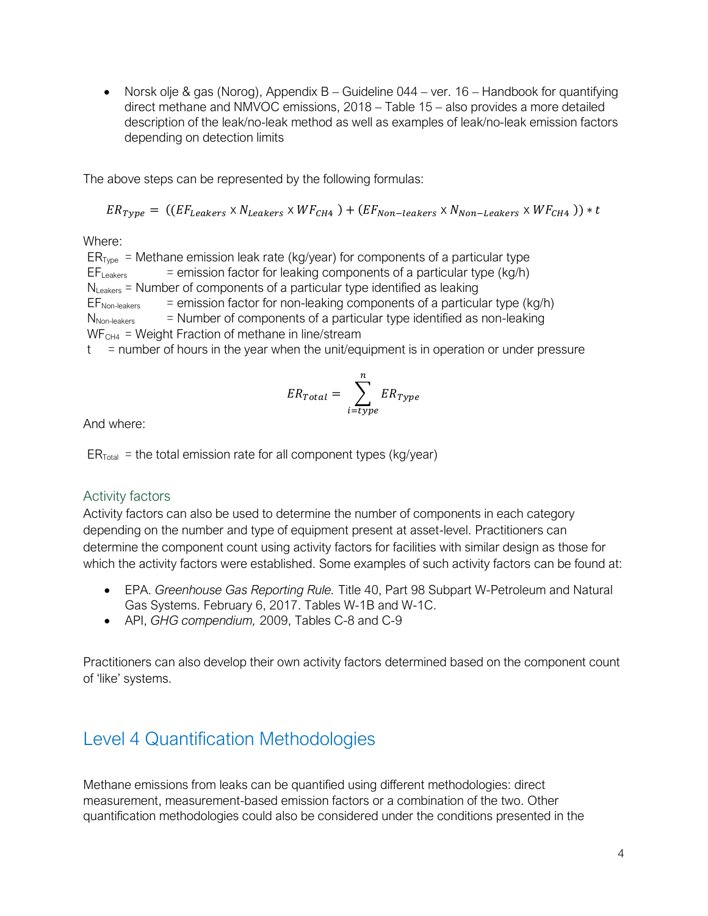• Norsk olje & gas (Norog), Appendix B – Guideline 044 – ver. 16 – Handbook for quantifying direct methane and NMVOC emissions, 2018 – Table 15 – also provides a more detailed description of the leak/no-leak method as well as examples of leak/no-leak emission factors depending on detection limits

The above steps can be represented by the following formulas:

$$
ER_{Type} = ((EF_{Leakers} \times N_{Leakers} \times WF_{CH4}) + (EF_{Non-leakers} \times N_{Non-leakers} \times WF_{CH4})) * t
$$

Where:

 $ER_{Type}$  = Methane emission leak rate (kg/year) for components of a particular type  $EF_{\text{Leakers}}$  = emission factor for leaking components of a particular type (kg/h)  $N_{\text{l} \text{eakers}}$  = Number of components of a particular type identified as leaking  $EF<sub>Non-leakers</sub>$  = emission factor for non-leaking components of a particular type (kg/h)  $N<sub>Non-leakers</sub>$  = Number of components of a particular type identified as non-leaking  $WF<sub>CH4</sub>$  = Weight Fraction of methane in line/stream

 $t =$  number of hours in the year when the unit/equipment is in operation or under pressure

$$
ER_{Total} = \sum_{i = type}^{n} ER_{Type}
$$

And where:

 $ER<sub>Total</sub>$  = the total emission rate for all component types (kg/year)

### Activity factors

Activity factors can also be used to determine the number of components in each category depending on the number and type of equipment present at asset-level. Practitioners can determine the component count using activity factors for facilities with similar design as those for which the activity factors were established. Some examples of such activity factors can be found at:

- EPA. *Greenhouse Gas Reporting Rule.* Title 40, Part 98 Subpart W-Petroleum and Natural Gas Systems. February 6, 2017. Tables W-1B and W-1C.
- API, *GHG compendium,* 2009, Tables C-8 and C-9

Practitioners can also develop their own activity factors determined based on the component count of 'like' systems.

# Level 4 Quantification Methodologies

Methane emissions from leaks can be quantified using different methodologies: direct measurement, measurement-based emission factors or a combination of the two. Other quantification methodologies could also be considered under the conditions presented in the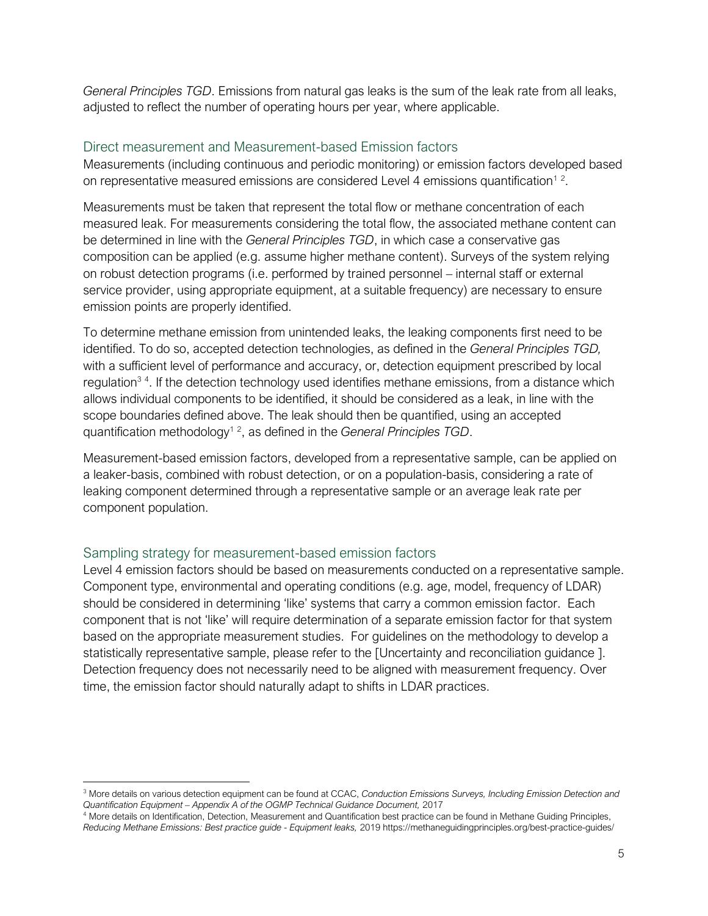*General Principles TGD*. Emissions from natural gas leaks is the sum of the leak rate from all leaks, adjusted to reflect the number of operating hours per year, where applicable.

### Direct measurement and Measurement-based Emission factors

Measurements (including continuous and periodic monitoring) or emission factors developed based on representative measured emissions are considered Level 4 emissions quantification<sup>12</sup>.

Measurements must be taken that represent the total flow or methane concentration of each measured leak. For measurements considering the total flow, the associated methane content can be determined in line with the *General Principles TGD*, in which case a conservative gas composition can be applied (e.g. assume higher methane content). Surveys of the system relying on robust detection programs (i.e. performed by trained personnel – internal staff or external service provider, using appropriate equipment, at a suitable frequency) are necessary to ensure emission points are properly identified.

To determine methane emission from unintended leaks, the leaking components first need to be identified. To do so, accepted detection technologies, as defined in the *General Principles TGD,* with a sufficient level of performance and accuracy, or, detection equipment prescribed by local regulation<sup>34</sup>. If the detection technology used identifies methane emissions, from a distance which allows individual components to be identified, it should be considered as a leak, in line with the scope boundaries defined above. The leak should then be quantified, using an accepted quantification methodology<sup>12</sup>, as defined in the *General Principles TGD*.

Measurement-based emission factors, developed from a representative sample, can be applied on a leaker-basis, combined with robust detection, or on a population-basis, considering a rate of leaking component determined through a representative sample or an average leak rate per component population.

### Sampling strategy for measurement-based emission factors

 $\overline{a}$ 

Level 4 emission factors should be based on measurements conducted on a representative sample. Component type, environmental and operating conditions (e.g. age, model, frequency of LDAR) should be considered in determining 'like' systems that carry a common emission factor. Each component that is not 'like' will require determination of a separate emission factor for that system based on the appropriate measurement studies. For guidelines on the methodology to develop a statistically representative sample, please refer to the [Uncertainty and reconciliation guidance ]. Detection frequency does not necessarily need to be aligned with measurement frequency. Over time, the emission factor should naturally adapt to shifts in LDAR practices.

<sup>3</sup> More details on various detection equipment can be found at CCAC, *Conduction Emissions Surveys, Including Emission Detection and Quantification Equipment – Appendix A of the OGMP Technical Guidance Document,* 2017

<sup>4</sup> More details on Identification, Detection, Measurement and Quantification best practice can be found in Methane Guiding Principles, *Reducing Methane Emissions: Best practice guide - Equipment leaks,* 2019 https://methaneguidingprinciples.org/best-practice-guides/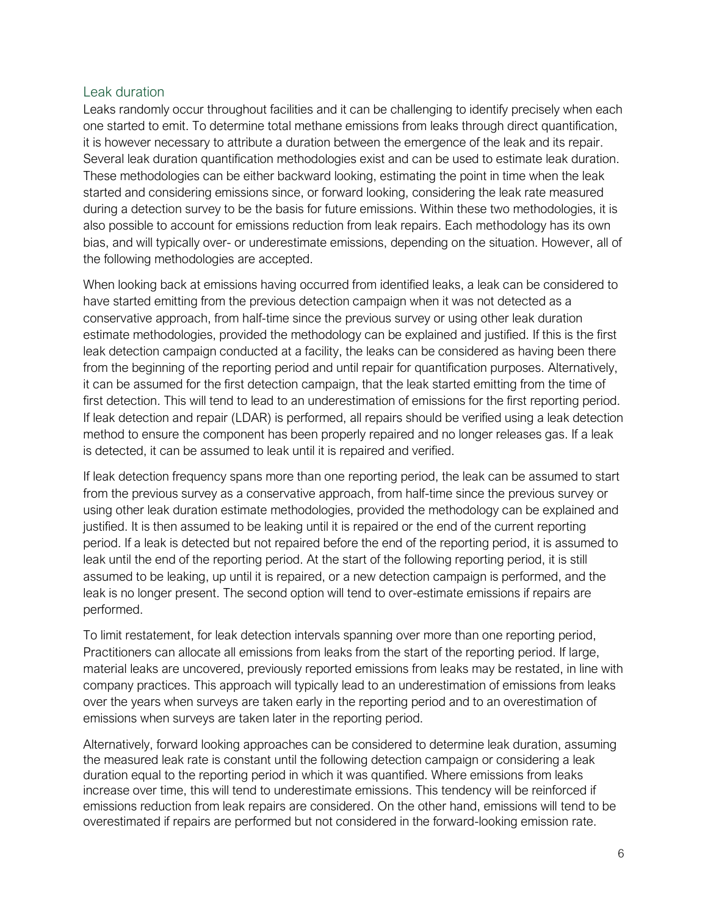#### Leak duration

Leaks randomly occur throughout facilities and it can be challenging to identify precisely when each one started to emit. To determine total methane emissions from leaks through direct quantification, it is however necessary to attribute a duration between the emergence of the leak and its repair. Several leak duration quantification methodologies exist and can be used to estimate leak duration. These methodologies can be either backward looking, estimating the point in time when the leak started and considering emissions since, or forward looking, considering the leak rate measured during a detection survey to be the basis for future emissions. Within these two methodologies, it is also possible to account for emissions reduction from leak repairs. Each methodology has its own bias, and will typically over- or underestimate emissions, depending on the situation. However, all of the following methodologies are accepted.

When looking back at emissions having occurred from identified leaks, a leak can be considered to have started emitting from the previous detection campaign when it was not detected as a conservative approach, from half-time since the previous survey or using other leak duration estimate methodologies, provided the methodology can be explained and justified. If this is the first leak detection campaign conducted at a facility, the leaks can be considered as having been there from the beginning of the reporting period and until repair for quantification purposes. Alternatively, it can be assumed for the first detection campaign, that the leak started emitting from the time of first detection. This will tend to lead to an underestimation of emissions for the first reporting period. If leak detection and repair (LDAR) is performed, all repairs should be verified using a leak detection method to ensure the component has been properly repaired and no longer releases gas. If a leak is detected, it can be assumed to leak until it is repaired and verified.

If leak detection frequency spans more than one reporting period, the leak can be assumed to start from the previous survey as a conservative approach, from half-time since the previous survey or using other leak duration estimate methodologies, provided the methodology can be explained and justified. It is then assumed to be leaking until it is repaired or the end of the current reporting period. If a leak is detected but not repaired before the end of the reporting period, it is assumed to leak until the end of the reporting period. At the start of the following reporting period, it is still assumed to be leaking, up until it is repaired, or a new detection campaign is performed, and the leak is no longer present. The second option will tend to over-estimate emissions if repairs are performed.

To limit restatement, for leak detection intervals spanning over more than one reporting period, Practitioners can allocate all emissions from leaks from the start of the reporting period. If large, material leaks are uncovered, previously reported emissions from leaks may be restated, in line with company practices. This approach will typically lead to an underestimation of emissions from leaks over the years when surveys are taken early in the reporting period and to an overestimation of emissions when surveys are taken later in the reporting period.

Alternatively, forward looking approaches can be considered to determine leak duration, assuming the measured leak rate is constant until the following detection campaign or considering a leak duration equal to the reporting period in which it was quantified. Where emissions from leaks increase over time, this will tend to underestimate emissions. This tendency will be reinforced if emissions reduction from leak repairs are considered. On the other hand, emissions will tend to be overestimated if repairs are performed but not considered in the forward-looking emission rate.